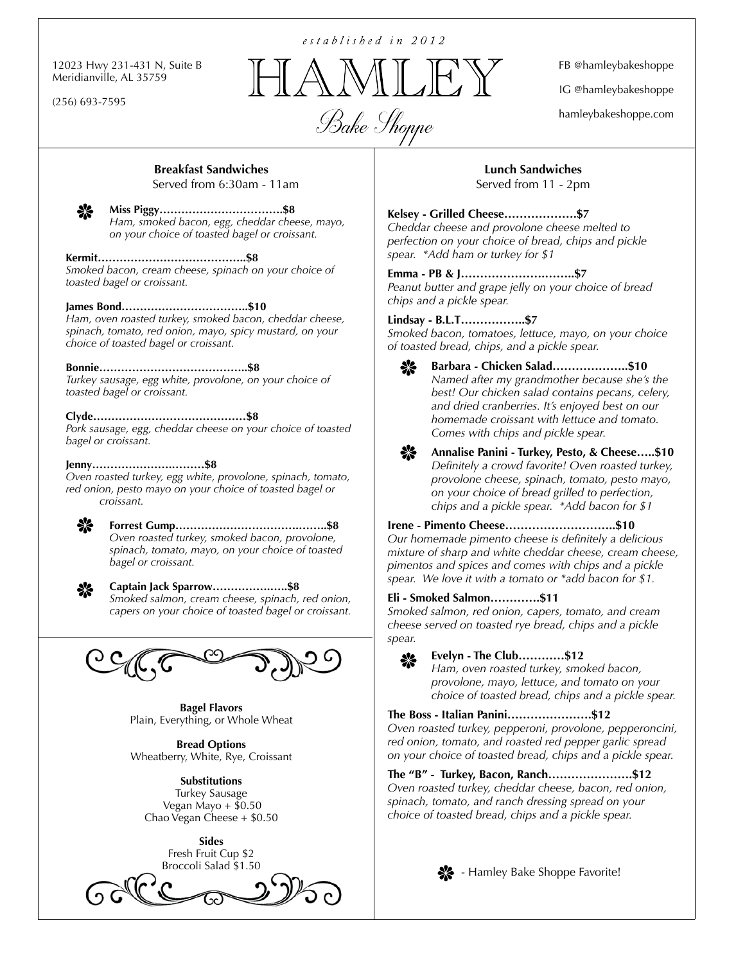12023 Hwy 231-431 N, Suite B Meridianville, AL 35759

(256) 693-7595

established in 2012



FB @hamleybakeshoppe

IG @hamleybakeshoppe

hamleybakeshoppe.com

# **Breakfast Sandwiches**

Served from 6:30am - 11am



**Miss Piggy…………………………….\$8** *Ham, smoked bacon, egg, cheddar cheese, mayo, on your choice of toasted bagel or croissant.*

### **Kermit…………………………………..\$8**

*Smoked bacon, cream cheese, spinach on your choice of toasted bagel or croissant.*

### **James Bond……………………………..\$10**

*Ham, oven roasted turkey, smoked bacon, cheddar cheese, spinach, tomato, red onion, mayo, spicy mustard, on your choice of toasted bagel or croissant.*

**Bonnie…………………………………..\$8** *Turkey sausage, egg white, provolone, on your choice of toasted bagel or croissant.*

### **Clyde……………………………………\$8**

*Pork sausage, egg, cheddar cheese on your choice of toasted bagel or croissant.*

### **Jenny………………….………\$8**

*Oven roasted turkey, egg white, provolone, spinach, tomato, red onion, pesto mayo on your choice of toasted bagel or croissant.*

> **Forrest Gump…………………………….……..\$8** *Oven roasted turkey, smoked bacon, provolone, spinach, tomato, mayo, on your choice of toasted bagel or croissant.*



₩

**Captain Jack Sparrow…………….…..\$8** *Smoked salmon, cream cheese, spinach, red onion, capers on your choice of toasted bagel or croissant.*



**Bagel Flavors** Plain, Everything, or Whole Wheat

**Bread Options** Wheatberry, White, Rye, Croissant

**Substitutions** Turkey Sausage Vegan Mayo  $+$  \$0.50 Chao Vegan Cheese + \$0.50

> **Sides** Fresh Fruit Cup \$2 Broccoli Salad \$1.50



**Lunch Sandwiches** Served from 11 - 2pm

## **Kelsey - Grilled Cheese……………….\$7**

*Cheddar cheese and provolone cheese melted to perfection on your choice of bread, chips and pickle spear. \*Add ham or turkey for \$1*

### **Emma - PB & J………………….……..\$7**

*Peanut butter and grape jelly on your choice of bread chips and a pickle spear.*

### **Lindsay - B.L.T……………..\$7**

*Smoked bacon, tomatoes, lettuce, mayo, on your choice of toasted bread, chips, and a pickle spear.*



**Barbara - Chicken Salad………………..\$10** *Named after my grandmother because she's the best! Our chicken salad contains pecans, celery, and dried cranberries. It's enjoyed best on our homemade croissant with lettuce and tomato. Comes with chips and pickle spear.*

-≫

**Annalise Panini - Turkey, Pesto, & Cheese…..\$10** *Definitely a crowd favorite! Oven roasted turkey, provolone cheese, spinach, tomato, pesto mayo, on your choice of bread grilled to perfection, chips and a pickle spear. \*Add bacon for \$1*

**Irene - Pimento Cheese………………………..\$10** *Our homemade pimento cheese is definitely a delicious mixture of sharp and white cheddar cheese, cream cheese, pimentos and spices and comes with chips and a pickle spear. We love it with a tomato or \*add bacon for \$1.*

### **Eli - Smoked Salmon………….\$11**

*Smoked salmon, red onion, capers, tomato, and cream cheese served on toasted rye bread, chips and a pickle spear.*



**Evelyn - The Club…………\$12**

*Ham, oven roasted turkey, smoked bacon, provolone, mayo, lettuce, and tomato on your choice of toasted bread, chips and a pickle spear.*

### **The Boss - Italian Panini………………….\$12**

*Oven roasted turkey, pepperoni, provolone, pepperoncini, red onion, tomato, and roasted red pepper garlic spread on your choice of toasted bread, chips and a pickle spear.*

**The "B" - Turkey, Bacon, Ranch………………….\$12** *Oven roasted turkey, cheddar cheese, bacon, red onion, spinach, tomato, and ranch dressing spread on your choice of toasted bread, chips and a pickle spear.*



**X** - Hamley Bake Shoppe Favorite!